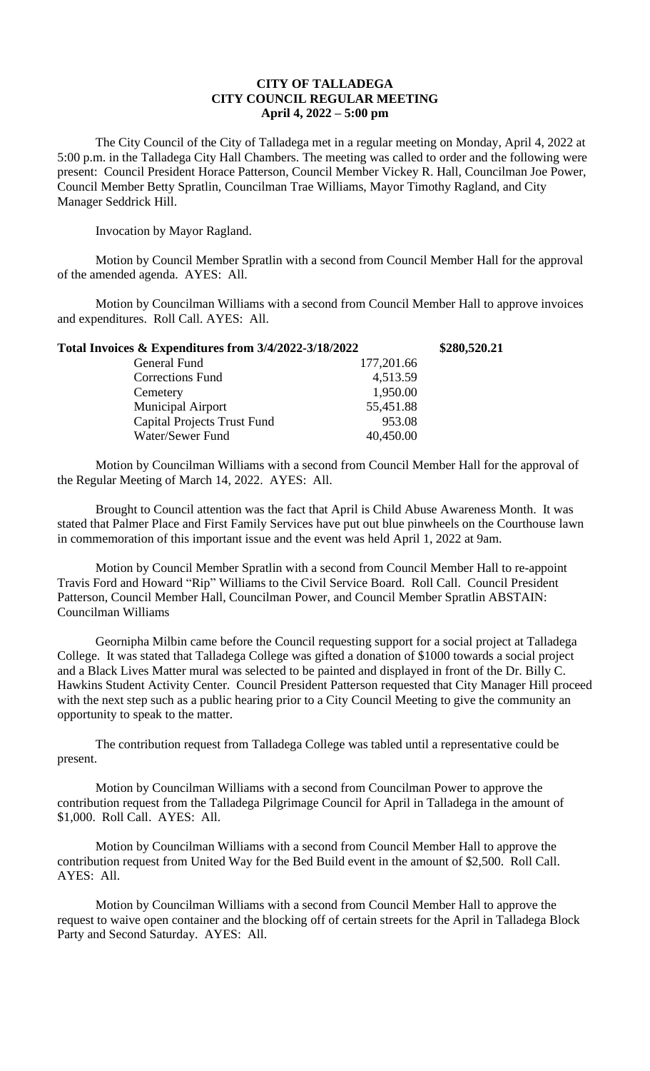## **CITY OF TALLADEGA CITY COUNCIL REGULAR MEETING April 4, 2022 – 5:00 pm**

The City Council of the City of Talladega met in a regular meeting on Monday, April 4, 2022 at 5:00 p.m. in the Talladega City Hall Chambers. The meeting was called to order and the following were present: Council President Horace Patterson, Council Member Vickey R. Hall, Councilman Joe Power, Council Member Betty Spratlin, Councilman Trae Williams, Mayor Timothy Ragland, and City Manager Seddrick Hill.

Invocation by Mayor Ragland.

Motion by Council Member Spratlin with a second from Council Member Hall for the approval of the amended agenda. AYES: All.

Motion by Councilman Williams with a second from Council Member Hall to approve invoices and expenditures. Roll Call. AYES: All.

| Total Invoices & Expenditures from 3/4/2022-3/18/2022 | \$280,520.21 |
|-------------------------------------------------------|--------------|
| 177,201.66                                            |              |
| 4,513.59                                              |              |
| 1,950.00                                              |              |
| 55,451.88                                             |              |
| 953.08                                                |              |
| 40,450.00                                             |              |
|                                                       |              |

Motion by Councilman Williams with a second from Council Member Hall for the approval of the Regular Meeting of March 14, 2022. AYES: All.

Brought to Council attention was the fact that April is Child Abuse Awareness Month. It was stated that Palmer Place and First Family Services have put out blue pinwheels on the Courthouse lawn in commemoration of this important issue and the event was held April 1, 2022 at 9am.

Motion by Council Member Spratlin with a second from Council Member Hall to re-appoint Travis Ford and Howard "Rip" Williams to the Civil Service Board. Roll Call. Council President Patterson, Council Member Hall, Councilman Power, and Council Member Spratlin ABSTAIN: Councilman Williams

Geornipha Milbin came before the Council requesting support for a social project at Talladega College. It was stated that Talladega College was gifted a donation of \$1000 towards a social project and a Black Lives Matter mural was selected to be painted and displayed in front of the Dr. Billy C. Hawkins Student Activity Center. Council President Patterson requested that City Manager Hill proceed with the next step such as a public hearing prior to a City Council Meeting to give the community an opportunity to speak to the matter.

The contribution request from Talladega College was tabled until a representative could be present.

Motion by Councilman Williams with a second from Councilman Power to approve the contribution request from the Talladega Pilgrimage Council for April in Talladega in the amount of \$1,000. Roll Call. AYES: All.

Motion by Councilman Williams with a second from Council Member Hall to approve the contribution request from United Way for the Bed Build event in the amount of \$2,500. Roll Call. AYES: All.

Motion by Councilman Williams with a second from Council Member Hall to approve the request to waive open container and the blocking off of certain streets for the April in Talladega Block Party and Second Saturday. AYES: All.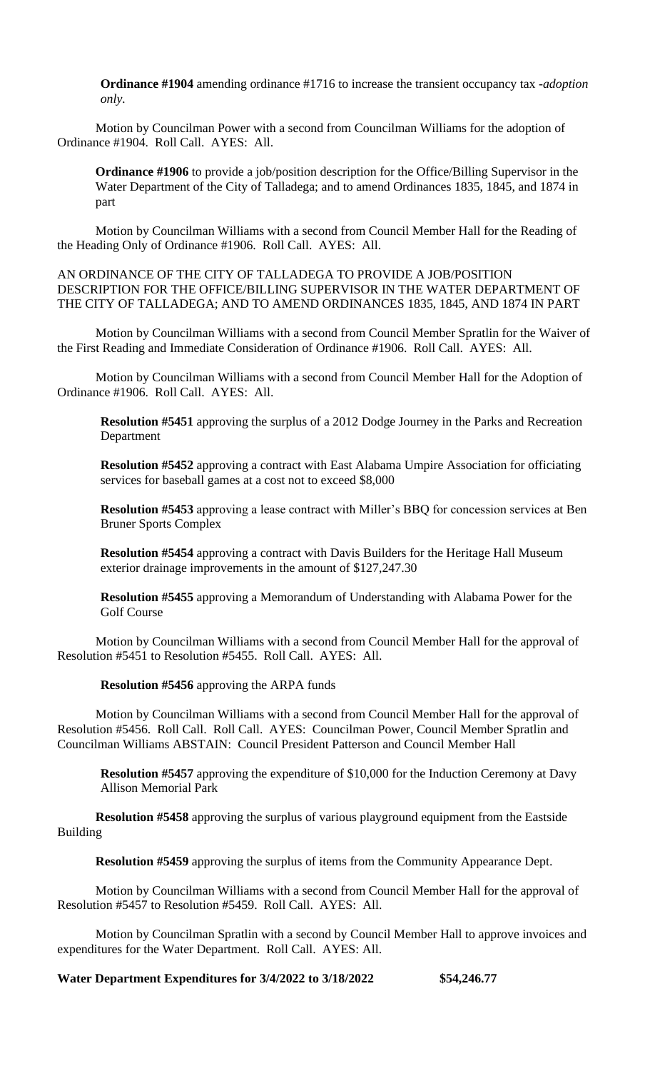**Ordinance #1904** amending ordinance #1716 to increase the transient occupancy tax *-adoption only.*

Motion by Councilman Power with a second from Councilman Williams for the adoption of Ordinance #1904. Roll Call. AYES: All.

**Ordinance #1906** to provide a job/position description for the Office/Billing Supervisor in the Water Department of the City of Talladega; and to amend Ordinances 1835, 1845, and 1874 in part

Motion by Councilman Williams with a second from Council Member Hall for the Reading of the Heading Only of Ordinance #1906. Roll Call. AYES: All.

AN ORDINANCE OF THE CITY OF TALLADEGA TO PROVIDE A JOB/POSITION DESCRIPTION FOR THE OFFICE/BILLING SUPERVISOR IN THE WATER DEPARTMENT OF THE CITY OF TALLADEGA; AND TO AMEND ORDINANCES 1835, 1845, AND 1874 IN PART

Motion by Councilman Williams with a second from Council Member Spratlin for the Waiver of the First Reading and Immediate Consideration of Ordinance #1906. Roll Call. AYES: All.

Motion by Councilman Williams with a second from Council Member Hall for the Adoption of Ordinance #1906. Roll Call. AYES: All.

**Resolution #5451** approving the surplus of a 2012 Dodge Journey in the Parks and Recreation Department

**Resolution #5452** approving a contract with East Alabama Umpire Association for officiating services for baseball games at a cost not to exceed \$8,000

**Resolution #5453** approving a lease contract with Miller's BBQ for concession services at Ben Bruner Sports Complex

**Resolution #5454** approving a contract with Davis Builders for the Heritage Hall Museum exterior drainage improvements in the amount of \$127,247.30

**Resolution #5455** approving a Memorandum of Understanding with Alabama Power for the Golf Course

Motion by Councilman Williams with a second from Council Member Hall for the approval of Resolution #5451 to Resolution #5455. Roll Call. AYES: All.

**Resolution #5456** approving the ARPA funds

Motion by Councilman Williams with a second from Council Member Hall for the approval of Resolution #5456. Roll Call. Roll Call. AYES: Councilman Power, Council Member Spratlin and Councilman Williams ABSTAIN: Council President Patterson and Council Member Hall

**Resolution #5457** approving the expenditure of \$10,000 for the Induction Ceremony at Davy Allison Memorial Park

**Resolution #5458** approving the surplus of various playground equipment from the Eastside Building

**Resolution #5459** approving the surplus of items from the Community Appearance Dept.

Motion by Councilman Williams with a second from Council Member Hall for the approval of Resolution #5457 to Resolution #5459. Roll Call. AYES: All.

Motion by Councilman Spratlin with a second by Council Member Hall to approve invoices and expenditures for the Water Department. Roll Call. AYES: All.

**Water Department Expenditures for 3/4/2022 to 3/18/2022 \$54,246.77**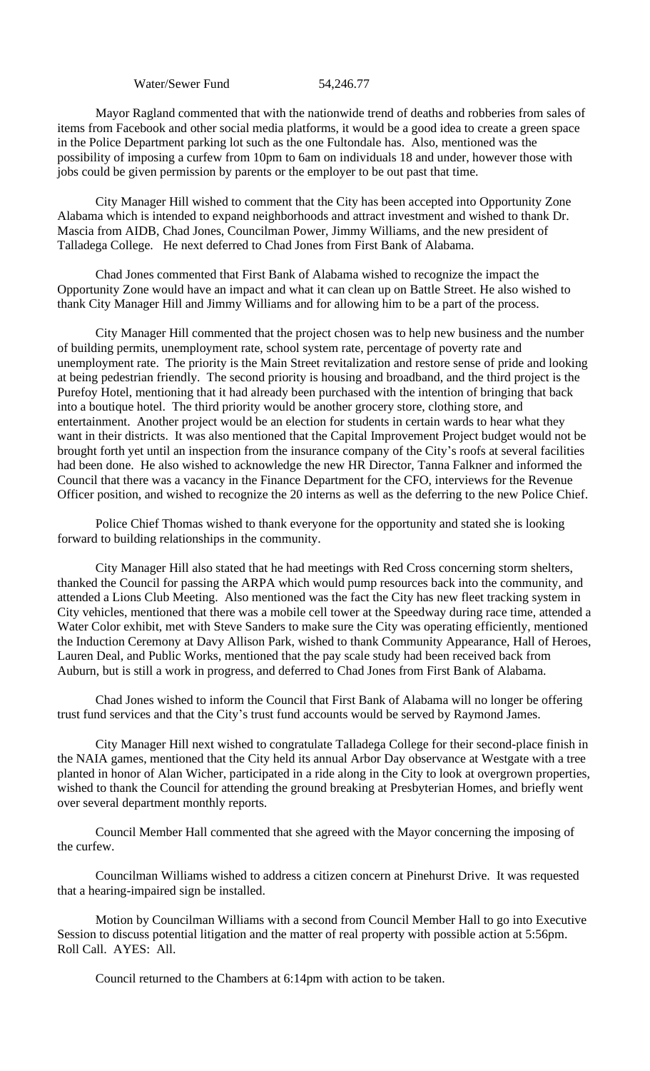Water/Sewer Fund 54,246.77

Mayor Ragland commented that with the nationwide trend of deaths and robberies from sales of items from Facebook and other social media platforms, it would be a good idea to create a green space in the Police Department parking lot such as the one Fultondale has. Also, mentioned was the possibility of imposing a curfew from 10pm to 6am on individuals 18 and under, however those with jobs could be given permission by parents or the employer to be out past that time.

City Manager Hill wished to comment that the City has been accepted into Opportunity Zone Alabama which is intended to expand neighborhoods and attract investment and wished to thank Dr. Mascia from AIDB, Chad Jones, Councilman Power, Jimmy Williams, and the new president of Talladega College. He next deferred to Chad Jones from First Bank of Alabama.

Chad Jones commented that First Bank of Alabama wished to recognize the impact the Opportunity Zone would have an impact and what it can clean up on Battle Street. He also wished to thank City Manager Hill and Jimmy Williams and for allowing him to be a part of the process.

City Manager Hill commented that the project chosen was to help new business and the number of building permits, unemployment rate, school system rate, percentage of poverty rate and unemployment rate. The priority is the Main Street revitalization and restore sense of pride and looking at being pedestrian friendly. The second priority is housing and broadband, and the third project is the Purefoy Hotel, mentioning that it had already been purchased with the intention of bringing that back into a boutique hotel. The third priority would be another grocery store, clothing store, and entertainment. Another project would be an election for students in certain wards to hear what they want in their districts. It was also mentioned that the Capital Improvement Project budget would not be brought forth yet until an inspection from the insurance company of the City's roofs at several facilities had been done. He also wished to acknowledge the new HR Director, Tanna Falkner and informed the Council that there was a vacancy in the Finance Department for the CFO, interviews for the Revenue Officer position, and wished to recognize the 20 interns as well as the deferring to the new Police Chief.

Police Chief Thomas wished to thank everyone for the opportunity and stated she is looking forward to building relationships in the community.

City Manager Hill also stated that he had meetings with Red Cross concerning storm shelters, thanked the Council for passing the ARPA which would pump resources back into the community, and attended a Lions Club Meeting. Also mentioned was the fact the City has new fleet tracking system in City vehicles, mentioned that there was a mobile cell tower at the Speedway during race time, attended a Water Color exhibit, met with Steve Sanders to make sure the City was operating efficiently, mentioned the Induction Ceremony at Davy Allison Park, wished to thank Community Appearance, Hall of Heroes, Lauren Deal, and Public Works, mentioned that the pay scale study had been received back from Auburn, but is still a work in progress, and deferred to Chad Jones from First Bank of Alabama.

Chad Jones wished to inform the Council that First Bank of Alabama will no longer be offering trust fund services and that the City's trust fund accounts would be served by Raymond James.

City Manager Hill next wished to congratulate Talladega College for their second-place finish in the NAIA games, mentioned that the City held its annual Arbor Day observance at Westgate with a tree planted in honor of Alan Wicher, participated in a ride along in the City to look at overgrown properties, wished to thank the Council for attending the ground breaking at Presbyterian Homes, and briefly went over several department monthly reports.

Council Member Hall commented that she agreed with the Mayor concerning the imposing of the curfew.

Councilman Williams wished to address a citizen concern at Pinehurst Drive. It was requested that a hearing-impaired sign be installed.

Motion by Councilman Williams with a second from Council Member Hall to go into Executive Session to discuss potential litigation and the matter of real property with possible action at 5:56pm. Roll Call. AYES: All.

Council returned to the Chambers at 6:14pm with action to be taken.